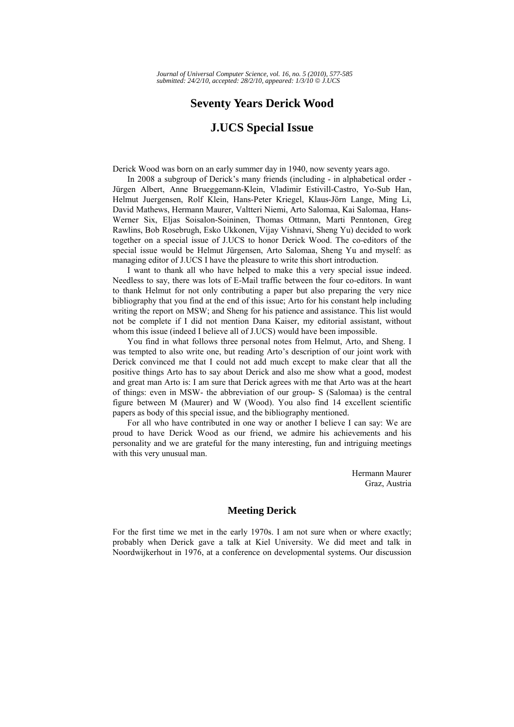# **Seventy Years Derick Wood**

## **J.UCS Special Issue**

Derick Wood was born on an early summer day in 1940, now seventy years ago.

In 2008 a subgroup of Derick's many friends (including - in alphabetical order - Jürgen Albert, Anne Brueggemann-Klein, Vladimir Estivill-Castro, Yo-Sub Han, Helmut Juergensen, Rolf Klein, Hans-Peter Kriegel, Klaus-Jörn Lange, Ming Li, David Mathews, Hermann Maurer, Valtteri Niemi, Arto Salomaa, Kai Salomaa, Hans-Werner Six, Eljas Soisalon-Soininen, Thomas Ottmann, Marti Penntonen, Greg Rawlins, Bob Rosebrugh, Esko Ukkonen, Vijay Vishnavi, Sheng Yu) decided to work together on a special issue of J.UCS to honor Derick Wood. The co-editors of the special issue would be Helmut Jürgensen, Arto Salomaa, Sheng Yu and myself: as managing editor of J.UCS I have the pleasure to write this short introduction.

I want to thank all who have helped to make this a very special issue indeed. Needless to say, there was lots of E-Mail traffic between the four co-editors. In want to thank Helmut for not only contributing a paper but also preparing the very nice bibliography that you find at the end of this issue; Arto for his constant help including writing the report on MSW; and Sheng for his patience and assistance. This list would not be complete if I did not mention Dana Kaiser, my editorial assistant, without whom this issue (indeed I believe all of J.UCS) would have been impossible.

You find in what follows three personal notes from Helmut, Arto, and Sheng. I was tempted to also write one, but reading Arto's description of our joint work with Derick convinced me that I could not add much except to make clear that all the positive things Arto has to say about Derick and also me show what a good, modest and great man Arto is: I am sure that Derick agrees with me that Arto was at the heart of things: even in MSW- the abbreviation of our group- S (Salomaa) is the central figure between M (Maurer) and W (Wood). You also find 14 excellent scientific papers as body of this special issue, and the bibliography mentioned.

For all who have contributed in one way or another I believe I can say: We are proud to have Derick Wood as our friend, we admire his achievements and his personality and we are grateful for the many interesting, fun and intriguing meetings with this very unusual man.

> Hermann Maurer Graz, Austria

### **Meeting Derick**

For the first time we met in the early 1970s. I am not sure when or where exactly; probably when Derick gave a talk at Kiel University. We did meet and talk in Noordwijkerhout in 1976, at a conference on developmental systems. Our discussion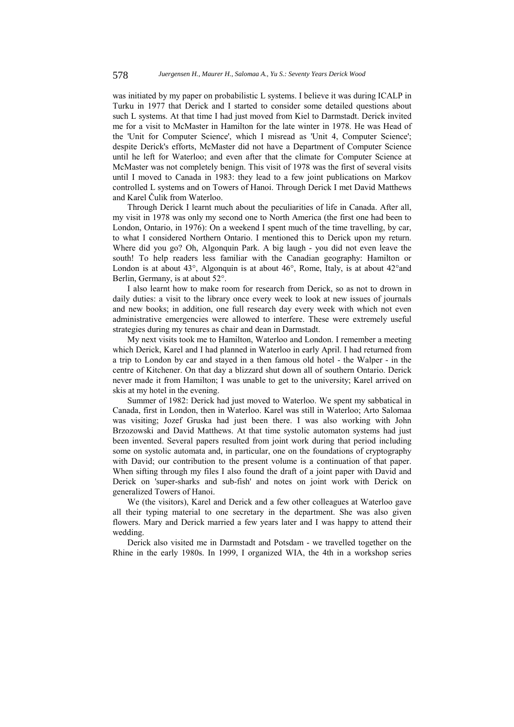was initiated by my paper on probabilistic L systems. I believe it was during ICALP in Turku in 1977 that Derick and I started to consider some detailed questions about such L systems. At that time I had just moved from Kiel to Darmstadt. Derick invited me for a visit to McMaster in Hamilton for the late winter in 1978. He was Head of the 'Unit for Computer Science', which I misread as 'Unit 4, Computer Science'; despite Derick's efforts, McMaster did not have a Department of Computer Science until he left for Waterloo; and even after that the climate for Computer Science at McMaster was not completely benign. This visit of 1978 was the first of several visits until I moved to Canada in 1983: they lead to a few joint publications on Markov controlled L systems and on Towers of Hanoi. Through Derick I met David Matthews and Karel Čulik from Waterloo.

Through Derick I learnt much about the peculiarities of life in Canada. After all, my visit in 1978 was only my second one to North America (the first one had been to London, Ontario, in 1976): On a weekend I spent much of the time travelling, by car, to what I considered Northern Ontario. I mentioned this to Derick upon my return. Where did you go? Oh, Algonquin Park. A big laugh - you did not even leave the south! To help readers less familiar with the Canadian geography: Hamilton or London is at about 43°, Algonquin is at about 46°, Rome, Italy, is at about 42° and Berlin, Germany, is at about 52°.

I also learnt how to make room for research from Derick, so as not to drown in daily duties: a visit to the library once every week to look at new issues of journals and new books; in addition, one full research day every week with which not even administrative emergencies were allowed to interfere. These were extremely useful strategies during my tenures as chair and dean in Darmstadt.

My next visits took me to Hamilton, Waterloo and London. I remember a meeting which Derick, Karel and I had planned in Waterloo in early April. I had returned from a trip to London by car and stayed in a then famous old hotel - the Walper - in the centre of Kitchener. On that day a blizzard shut down all of southern Ontario. Derick never made it from Hamilton; I was unable to get to the university; Karel arrived on skis at my hotel in the evening.

Summer of 1982: Derick had just moved to Waterloo. We spent my sabbatical in Canada, first in London, then in Waterloo. Karel was still in Waterloo; Arto Salomaa was visiting; Jozef Gruska had just been there. I was also working with John Brzozowski and David Matthews. At that time systolic automaton systems had just been invented. Several papers resulted from joint work during that period including some on systolic automata and, in particular, one on the foundations of cryptography with David; our contribution to the present volume is a continuation of that paper. When sifting through my files I also found the draft of a joint paper with David and Derick on 'super-sharks and sub-fish' and notes on joint work with Derick on generalized Towers of Hanoi.

We (the visitors), Karel and Derick and a few other colleagues at Waterloo gave all their typing material to one secretary in the department. She was also given flowers. Mary and Derick married a few years later and I was happy to attend their wedding.

Derick also visited me in Darmstadt and Potsdam - we travelled together on the Rhine in the early 1980s. In 1999, I organized WIA, the 4th in a workshop series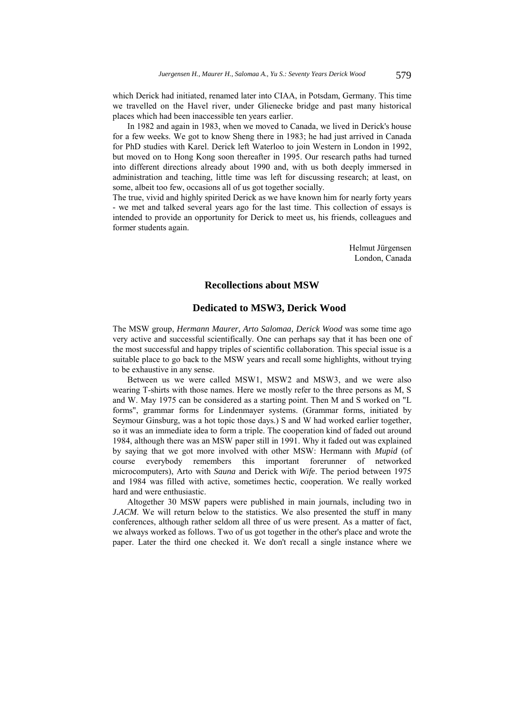which Derick had initiated, renamed later into CIAA, in Potsdam, Germany. This time we travelled on the Havel river, under Glienecke bridge and past many historical places which had been inaccessible ten years earlier.

In 1982 and again in 1983, when we moved to Canada, we lived in Derick's house for a few weeks. We got to know Sheng there in 1983; he had just arrived in Canada for PhD studies with Karel. Derick left Waterloo to join Western in London in 1992, but moved on to Hong Kong soon thereafter in 1995. Our research paths had turned into different directions already about 1990 and, with us both deeply immersed in administration and teaching, little time was left for discussing research; at least, on some, albeit too few, occasions all of us got together socially.

The true, vivid and highly spirited Derick as we have known him for nearly forty years - we met and talked several years ago for the last time. This collection of essays is intended to provide an opportunity for Derick to meet us, his friends, colleagues and former students again.

> Helmut Jürgensen London, Canada

#### **Recollections about MSW**

## **Dedicated to MSW3, Derick Wood**

The MSW group, *Hermann Maurer, Arto Salomaa, Derick Wood* was some time ago very active and successful scientifically. One can perhaps say that it has been one of the most successful and happy triples of scientific collaboration. This special issue is a suitable place to go back to the MSW years and recall some highlights, without trying to be exhaustive in any sense.

Between us we were called MSW1, MSW2 and MSW3, and we were also wearing T-shirts with those names. Here we mostly refer to the three persons as M, S and W. May 1975 can be considered as a starting point. Then M and S worked on "L forms", grammar forms for Lindenmayer systems. (Grammar forms, initiated by Seymour Ginsburg, was a hot topic those days.) S and W had worked earlier together, so it was an immediate idea to form a triple. The cooperation kind of faded out around 1984, although there was an MSW paper still in 1991. Why it faded out was explained by saying that we got more involved with other MSW: Hermann with *Mupid* (of course everybody remembers this important forerunner of networked microcomputers), Arto with *Sauna* and Derick with *Wife*. The period between 1975 and 1984 was filled with active, sometimes hectic, cooperation. We really worked hard and were enthusiastic.

Altogether 30 MSW papers were published in main journals, including two in *J.ACM*. We will return below to the statistics. We also presented the stuff in many conferences, although rather seldom all three of us were present. As a matter of fact, we always worked as follows. Two of us got together in the other's place and wrote the paper. Later the third one checked it. We don't recall a single instance where we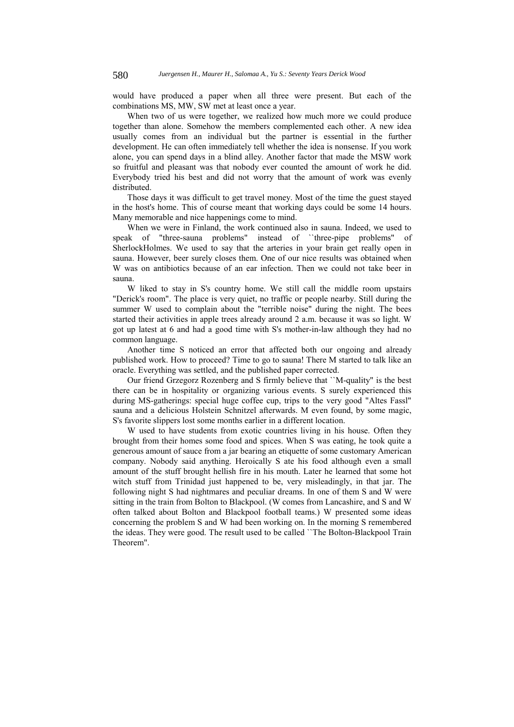would have produced a paper when all three were present. But each of the combinations MS, MW, SW met at least once a year.

When two of us were together, we realized how much more we could produce together than alone. Somehow the members complemented each other. A new idea usually comes from an individual but the partner is essential in the further development. He can often immediately tell whether the idea is nonsense. If you work alone, you can spend days in a blind alley. Another factor that made the MSW work so fruitful and pleasant was that nobody ever counted the amount of work he did. Everybody tried his best and did not worry that the amount of work was evenly distributed.

Those days it was difficult to get travel money. Most of the time the guest stayed in the host's home. This of course meant that working days could be some 14 hours. Many memorable and nice happenings come to mind.

When we were in Finland, the work continued also in sauna. Indeed, we used to speak of "three-sauna problems" instead of ``three-pipe problems" of SherlockHolmes. We used to say that the arteries in your brain get really open in sauna. However, beer surely closes them. One of our nice results was obtained when W was on antibiotics because of an ear infection. Then we could not take beer in sauna.

W liked to stay in S's country home. We still call the middle room upstairs "Derick's room". The place is very quiet, no traffic or people nearby. Still during the summer W used to complain about the "terrible noise" during the night. The bees started their activities in apple trees already around 2 a.m. because it was so light. W got up latest at 6 and had a good time with S's mother-in-law although they had no common language.

Another time S noticed an error that affected both our ongoing and already published work. How to proceed? Time to go to sauna! There M started to talk like an oracle. Everything was settled, and the published paper corrected.

Our friend Grzegorz Rozenberg and S firmly believe that ``M-quality" is the best there can be in hospitality or organizing various events. S surely experienced this during MS-gatherings: special huge coffee cup, trips to the very good "Altes Fassl" sauna and a delicious Holstein Schnitzel afterwards. M even found, by some magic, S's favorite slippers lost some months earlier in a different location.

W used to have students from exotic countries living in his house. Often they brought from their homes some food and spices. When S was eating, he took quite a generous amount of sauce from a jar bearing an etiquette of some customary American company. Nobody said anything. Heroically S ate his food although even a small amount of the stuff brought hellish fire in his mouth. Later he learned that some hot witch stuff from Trinidad just happened to be, very misleadingly, in that jar. The following night S had nightmares and peculiar dreams. In one of them S and W were sitting in the train from Bolton to Blackpool. (W comes from Lancashire, and S and W often talked about Bolton and Blackpool football teams.) W presented some ideas concerning the problem S and W had been working on. In the morning S remembered the ideas. They were good. The result used to be called ``The Bolton-Blackpool Train Theorem".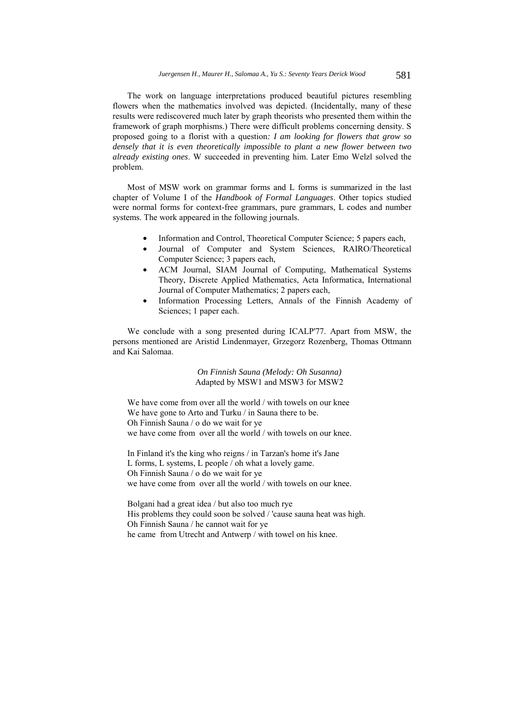The work on language interpretations produced beautiful pictures resembling flowers when the mathematics involved was depicted. (Incidentally, many of these results were rediscovered much later by graph theorists who presented them within the framework of graph morphisms.) There were difficult problems concerning density. S proposed going to a florist with a question*: I am looking for flowers that grow so densely that it is even theoretically impossible to plant a new flower between two already existing ones*. W succeeded in preventing him. Later Emo Welzl solved the problem.

Most of MSW work on grammar forms and L forms is summarized in the last chapter of Volume I of the *Handbook of Formal Languages*. Other topics studied were normal forms for context-free grammars, pure grammars, L codes and number systems. The work appeared in the following journals.

- Information and Control, Theoretical Computer Science; 5 papers each,
- Journal of Computer and System Sciences, RAIRO/Theoretical Computer Science; 3 papers each,
- ACM Journal, SIAM Journal of Computing, Mathematical Systems Theory, Discrete Applied Mathematics, Acta Informatica, International Journal of Computer Mathematics; 2 papers each,
- Information Processing Letters, Annals of the Finnish Academy of Sciences; 1 paper each.

We conclude with a song presented during ICALP'77. Apart from MSW, the persons mentioned are Aristid Lindenmayer, Grzegorz Rozenberg, Thomas Ottmann and Kai Salomaa.

> *On Finnish Sauna (Melody: Oh Susanna)*  Adapted by MSW1 and MSW3 for MSW2

We have come from over all the world / with towels on our knee We have gone to Arto and Turku / in Sauna there to be. Oh Finnish Sauna / o do we wait for ye we have come from over all the world / with towels on our knee.

In Finland it's the king who reigns / in Tarzan's home it's Jane L forms, L systems, L people / oh what a lovely game. Oh Finnish Sauna / o do we wait for ye we have come from over all the world / with towels on our knee.

Bolgani had a great idea / but also too much rye His problems they could soon be solved / 'cause sauna heat was high. Oh Finnish Sauna / he cannot wait for ye he came from Utrecht and Antwerp / with towel on his knee.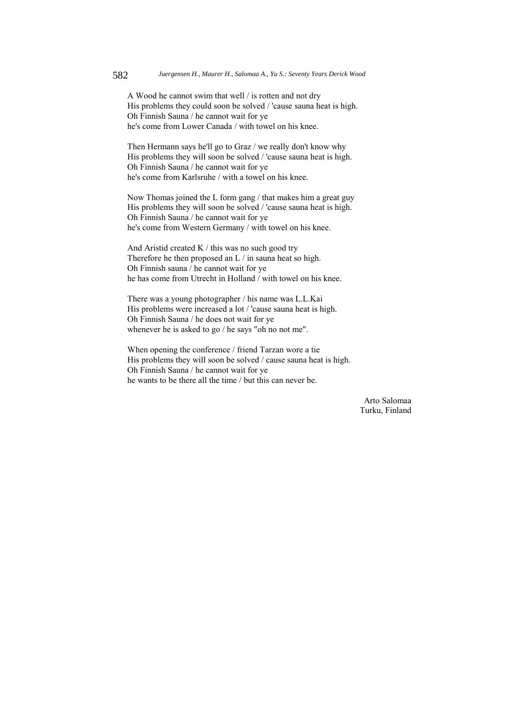A Wood he cannot swim that well / is rotten and not dry His problems they could soon be solved / 'cause sauna heat is high. Oh Finnish Sauna / he cannot wait for ye he's come from Lower Canada / with towel on his knee.

Then Hermann says he'll go to Graz / we really don't know why His problems they will soon be solved / 'cause sauna heat is high. Oh Finnish Sauna / he cannot wait for ye he's come from Karlsruhe / with a towel on his knee.

Now Thomas joined the L form gang / that makes him a great guy His problems they will soon be solved / 'cause sauna heat is high. Oh Finnish Sauna / he cannot wait for ye he's come from Western Germany / with towel on his knee.

And Aristid created K / this was no such good try Therefore he then proposed an L / in sauna heat so high. Oh Finnish sauna / he cannot wait for ye he has come from Utrecht in Holland / with towel on his knee.

There was a young photographer / his name was L.L.Kai His problems were increased a lot / 'cause sauna heat is high. Oh Finnish Sauna / he does not wait for ye whenever he is asked to go / he says "oh no not me".

When opening the conference / friend Tarzan wore a tie His problems they will soon be solved / cause sauna heat is high. Oh Finnish Sauna / he cannot wait for ye he wants to be there all the time / but this can never be.

> Arto Salomaa Turku, Finland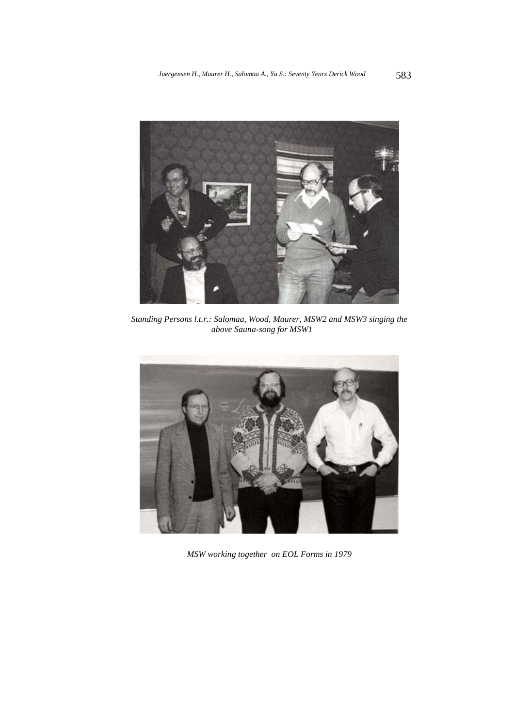

*Standing Persons l.t.r.: Salomaa, Wood, Maurer, MSW2 and MSW3 singing the above Sauna-song for MSW1* 



*MSW working together on EOL Forms in 1979*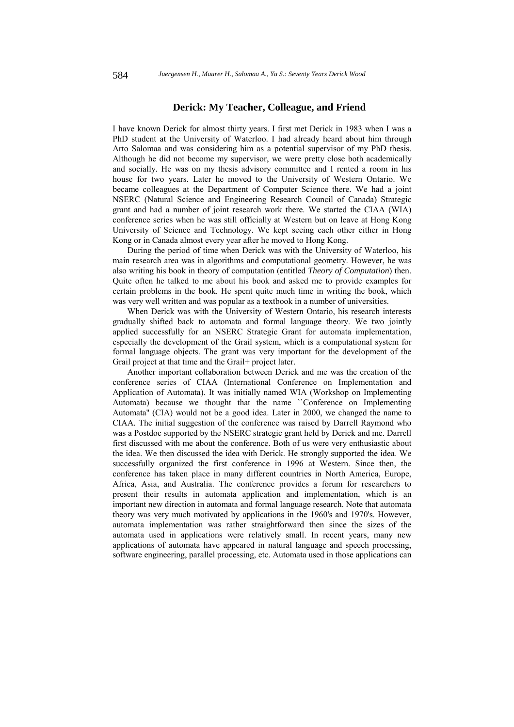### **Derick: My Teacher, Colleague, and Friend**

I have known Derick for almost thirty years. I first met Derick in 1983 when I was a PhD student at the University of Waterloo. I had already heard about him through Arto Salomaa and was considering him as a potential supervisor of my PhD thesis. Although he did not become my supervisor, we were pretty close both academically and socially. He was on my thesis advisory committee and I rented a room in his house for two years. Later he moved to the University of Western Ontario. We became colleagues at the Department of Computer Science there. We had a joint NSERC (Natural Science and Engineering Research Council of Canada) Strategic grant and had a number of joint research work there. We started the CIAA (WIA) conference series when he was still officially at Western but on leave at Hong Kong University of Science and Technology. We kept seeing each other either in Hong Kong or in Canada almost every year after he moved to Hong Kong.

During the period of time when Derick was with the University of Waterloo, his main research area was in algorithms and computational geometry. However, he was also writing his book in theory of computation (entitled *Theory of Computation*) then. Quite often he talked to me about his book and asked me to provide examples for certain problems in the book. He spent quite much time in writing the book, which was very well written and was popular as a textbook in a number of universities.

When Derick was with the University of Western Ontario, his research interests gradually shifted back to automata and formal language theory. We two jointly applied successfully for an NSERC Strategic Grant for automata implementation, especially the development of the Grail system, which is a computational system for formal language objects. The grant was very important for the development of the Grail project at that time and the Grail+ project later.

Another important collaboration between Derick and me was the creation of the conference series of CIAA (International Conference on Implementation and Application of Automata). It was initially named WIA (Workshop on Implementing Automata) because we thought that the name ``Conference on Implementing Automata'' (CIA) would not be a good idea. Later in 2000, we changed the name to CIAA. The initial suggestion of the conference was raised by Darrell Raymond who was a Postdoc supported by the NSERC strategic grant held by Derick and me. Darrell first discussed with me about the conference. Both of us were very enthusiastic about the idea. We then discussed the idea with Derick. He strongly supported the idea. We successfully organized the first conference in 1996 at Western. Since then, the conference has taken place in many different countries in North America, Europe, Africa, Asia, and Australia. The conference provides a forum for researchers to present their results in automata application and implementation, which is an important new direction in automata and formal language research. Note that automata theory was very much motivated by applications in the 1960's and 1970's. However, automata implementation was rather straightforward then since the sizes of the automata used in applications were relatively small. In recent years, many new applications of automata have appeared in natural language and speech processing, software engineering, parallel processing, etc. Automata used in those applications can